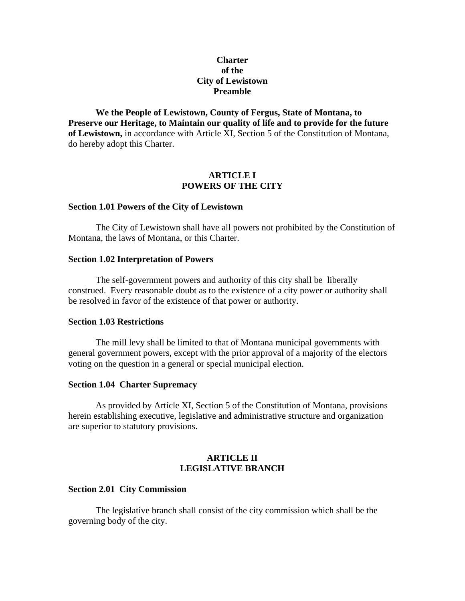# **Charter of the City of Lewistown Preamble**

**We the People of Lewistown, County of Fergus, State of Montana, to Preserve our Heritage, to Maintain our quality of life and to provide for the future of Lewistown,** in accordance with Article XI, Section 5 of the Constitution of Montana, do hereby adopt this Charter.

# **ARTICLE I POWERS OF THE CITY**

#### **Section 1.01 Powers of the City of Lewistown**

 The City of Lewistown shall have all powers not prohibited by the Constitution of Montana, the laws of Montana, or this Charter.

## **Section 1.02 Interpretation of Powers**

 The self-government powers and authority of this city shall be liberally construed. Every reasonable doubt as to the existence of a city power or authority shall be resolved in favor of the existence of that power or authority.

## **Section 1.03 Restrictions**

 The mill levy shall be limited to that of Montana municipal governments with general government powers, except with the prior approval of a majority of the electors voting on the question in a general or special municipal election.

### **Section 1.04 Charter Supremacy**

 As provided by Article XI, Section 5 of the Constitution of Montana, provisions herein establishing executive, legislative and administrative structure and organization are superior to statutory provisions.

## **ARTICLE II LEGISLATIVE BRANCH**

#### **Section 2.01 City Commission**

 The legislative branch shall consist of the city commission which shall be the governing body of the city.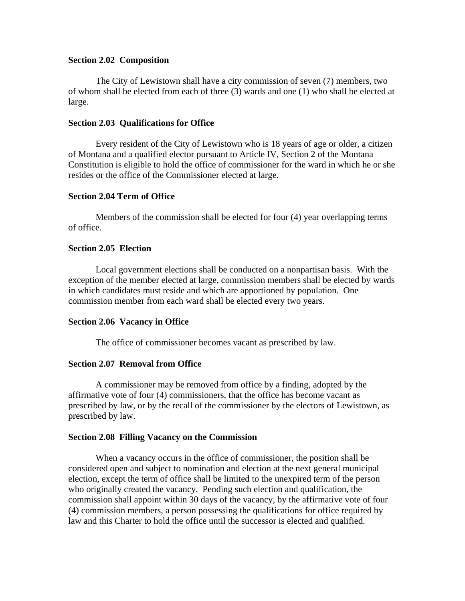# **Section 2.02 Composition**

The City of Lewistown shall have a city commission of seven (7) members, two of whom shall be elected from each of three (3) wards and one (1) who shall be elected at large.

# **Section 2.03 Qualifications for Office**

 Every resident of the City of Lewistown who is 18 years of age or older, a citizen of Montana and a qualified elector pursuant to Article IV, Section 2 of the Montana Constitution is eligible to hold the office of commissioner for the ward in which he or she resides or the office of the Commissioner elected at large.

# **Section 2.04 Term of Office**

 Members of the commission shall be elected for four (4) year overlapping terms of office.

# **Section 2.05 Election**

 Local government elections shall be conducted on a nonpartisan basis. With the exception of the member elected at large, commission members shall be elected by wards in which candidates must reside and which are apportioned by population. One commission member from each ward shall be elected every two years.

# **Section 2.06 Vacancy in Office**

The office of commissioner becomes vacant as prescribed by law.

# **Section 2.07 Removal from Office**

 A commissioner may be removed from office by a finding, adopted by the affirmative vote of four (4) commissioners, that the office has become vacant as prescribed by law, or by the recall of the commissioner by the electors of Lewistown, as prescribed by law.

## **Section 2.08 Filling Vacancy on the Commission**

 When a vacancy occurs in the office of commissioner, the position shall be considered open and subject to nomination and election at the next general municipal election, except the term of office shall be limited to the unexpired term of the person who originally created the vacancy. Pending such election and qualification, the commission shall appoint within 30 days of the vacancy, by the affirmative vote of four (4) commission members, a person possessing the qualifications for office required by law and this Charter to hold the office until the successor is elected and qualified.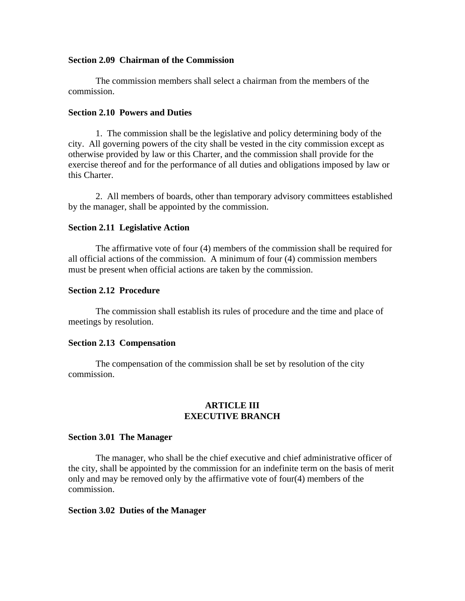### **Section 2.09 Chairman of the Commission**

 The commission members shall select a chairman from the members of the commission.

# **Section 2.10 Powers and Duties**

 1. The commission shall be the legislative and policy determining body of the city. All governing powers of the city shall be vested in the city commission except as otherwise provided by law or this Charter, and the commission shall provide for the exercise thereof and for the performance of all duties and obligations imposed by law or this Charter.

 2. All members of boards, other than temporary advisory committees established by the manager, shall be appointed by the commission.

### **Section 2.11 Legislative Action**

 The affirmative vote of four (4) members of the commission shall be required for all official actions of the commission. A minimum of four (4) commission members must be present when official actions are taken by the commission.

### **Section 2.12 Procedure**

 The commission shall establish its rules of procedure and the time and place of meetings by resolution.

### **Section 2.13 Compensation**

 The compensation of the commission shall be set by resolution of the city commission.

# **ARTICLE III EXECUTIVE BRANCH**

#### **Section 3.01 The Manager**

 The manager, who shall be the chief executive and chief administrative officer of the city, shall be appointed by the commission for an indefinite term on the basis of merit only and may be removed only by the affirmative vote of four(4) members of the commission.

## **Section 3.02 Duties of the Manager**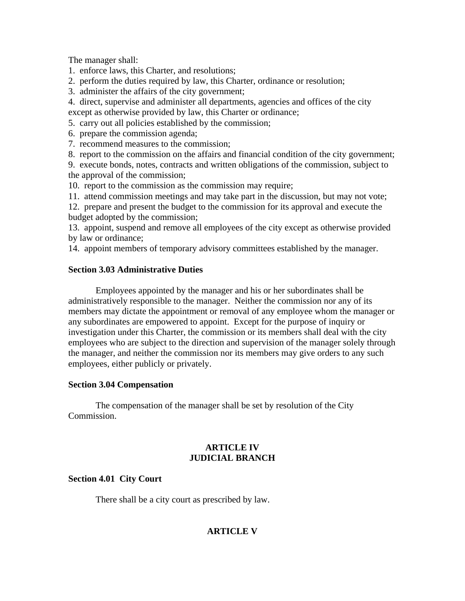The manager shall:

1. enforce laws, this Charter, and resolutions;

2. perform the duties required by law, this Charter, ordinance or resolution;

3. administer the affairs of the city government;

4. direct, supervise and administer all departments, agencies and offices of the city except as otherwise provided by law, this Charter or ordinance;

5. carry out all policies established by the commission;

6. prepare the commission agenda;

7. recommend measures to the commission;

8. report to the commission on the affairs and financial condition of the city government; 9. execute bonds, notes, contracts and written obligations of the commission, subject to the approval of the commission;

10. report to the commission as the commission may require;

11. attend commission meetings and may take part in the discussion, but may not vote;

12. prepare and present the budget to the commission for its approval and execute the budget adopted by the commission;

13. appoint, suspend and remove all employees of the city except as otherwise provided by law or ordinance;

14. appoint members of temporary advisory committees established by the manager.

## **Section 3.03 Administrative Duties**

 Employees appointed by the manager and his or her subordinates shall be administratively responsible to the manager. Neither the commission nor any of its members may dictate the appointment or removal of any employee whom the manager or any subordinates are empowered to appoint. Except for the purpose of inquiry or investigation under this Charter, the commission or its members shall deal with the city employees who are subject to the direction and supervision of the manager solely through the manager, and neither the commission nor its members may give orders to any such employees, either publicly or privately.

# **Section 3.04 Compensation**

 The compensation of the manager shall be set by resolution of the City Commission.

# **ARTICLE IV JUDICIAL BRANCH**

# **Section 4.01 City Court**

There shall be a city court as prescribed by law.

# **ARTICLE V**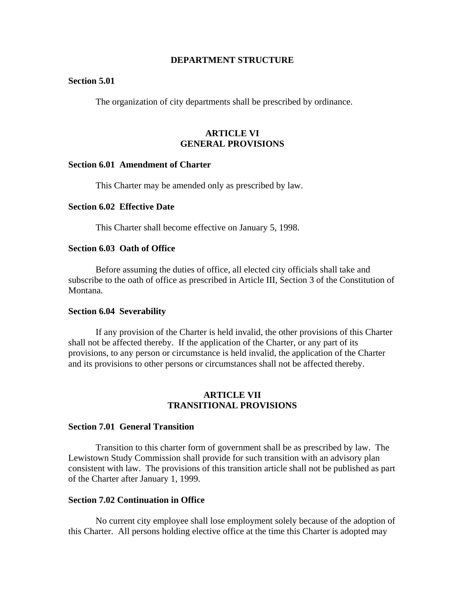### **DEPARTMENT STRUCTURE**

## **Section 5.01**

The organization of city departments shall be prescribed by ordinance.

# **ARTICLE VI GENERAL PROVISIONS**

### **Section 6.01 Amendment of Charter**

This Charter may be amended only as prescribed by law.

### **Section 6.02 Effective Date**

This Charter shall become effective on January 5, 1998.

# **Section 6.03 Oath of Office**

 Before assuming the duties of office, all elected city officials shall take and subscribe to the oath of office as prescribed in Article III, Section 3 of the Constitution of Montana.

#### **Section 6.04 Severability**

 If any provision of the Charter is held invalid, the other provisions of this Charter shall not be affected thereby. If the application of the Charter, or any part of its provisions, to any person or circumstance is held invalid, the application of the Charter and its provisions to other persons or circumstances shall not be affected thereby.

## **ARTICLE VII TRANSITIONAL PROVISIONS**

## **Section 7.01 General Transition**

 Transition to this charter form of government shall be as prescribed by law. The Lewistown Study Commission shall provide for such transition with an advisory plan consistent with law. The provisions of this transition article shall not be published as part of the Charter after January 1, 1999.

## **Section 7.02 Continuation in Office**

 No current city employee shall lose employment solely because of the adoption of this Charter. All persons holding elective office at the time this Charter is adopted may